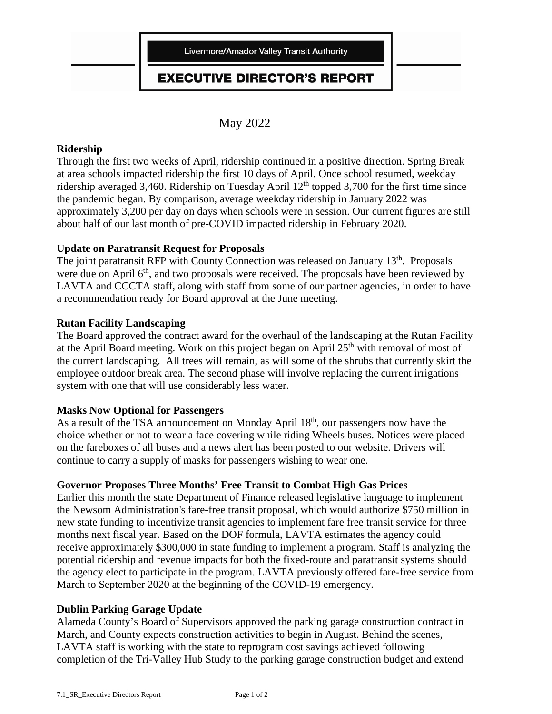### **EXECUTIVE DIRECTOR'S REPORT**

May 2022

### **Ridership**

Through the first two weeks of April, ridership continued in a positive direction. Spring Break at area schools impacted ridership the first 10 days of April. Once school resumed, weekday ridership averaged 3,460. Ridership on Tuesday April  $12<sup>th</sup>$  topped 3,700 for the first time since the pandemic began. By comparison, average weekday ridership in January 2022 was approximately 3,200 per day on days when schools were in session. Our current figures are still about half of our last month of pre-COVID impacted ridership in February 2020.

### **Update on Paratransit Request for Proposals**

The joint paratransit RFP with County Connection was released on January 13<sup>th</sup>. Proposals were due on April  $6<sup>th</sup>$ , and two proposals were received. The proposals have been reviewed by LAVTA and CCCTA staff, along with staff from some of our partner agencies, in order to have a recommendation ready for Board approval at the June meeting.

### **Rutan Facility Landscaping**

The Board approved the contract award for the overhaul of the landscaping at the Rutan Facility at the April Board meeting. Work on this project began on April  $25<sup>th</sup>$  with removal of most of the current landscaping. All trees will remain, as will some of the shrubs that currently skirt the employee outdoor break area. The second phase will involve replacing the current irrigations system with one that will use considerably less water.

#### **Masks Now Optional for Passengers**

As a result of the TSA announcement on Monday April 18<sup>th</sup>, our passengers now have the choice whether or not to wear a face covering while riding Wheels buses. Notices were placed on the fareboxes of all buses and a news alert has been posted to our website. Drivers will continue to carry a supply of masks for passengers wishing to wear one.

### **Governor Proposes Three Months' Free Transit to Combat High Gas Prices**

Earlier this month the state Department of Finance released legislative language to implement the Newsom Administration's fare-free transit proposal, which would authorize \$750 million in new state funding to incentivize transit agencies to implement fare free transit service for three months next fiscal year. Based on the DOF formula, LAVTA estimates the agency could receive approximately \$300,000 in state funding to implement a program. Staff is analyzing the potential ridership and revenue impacts for both the fixed-route and paratransit systems should the agency elect to participate in the program. LAVTA previously offered fare-free service from March to September 2020 at the beginning of the COVID-19 emergency.

#### **Dublin Parking Garage Update**

Alameda County's Board of Supervisors approved the parking garage construction contract in March, and County expects construction activities to begin in August. Behind the scenes, LAVTA staff is working with the state to reprogram cost savings achieved following completion of the Tri-Valley Hub Study to the parking garage construction budget and extend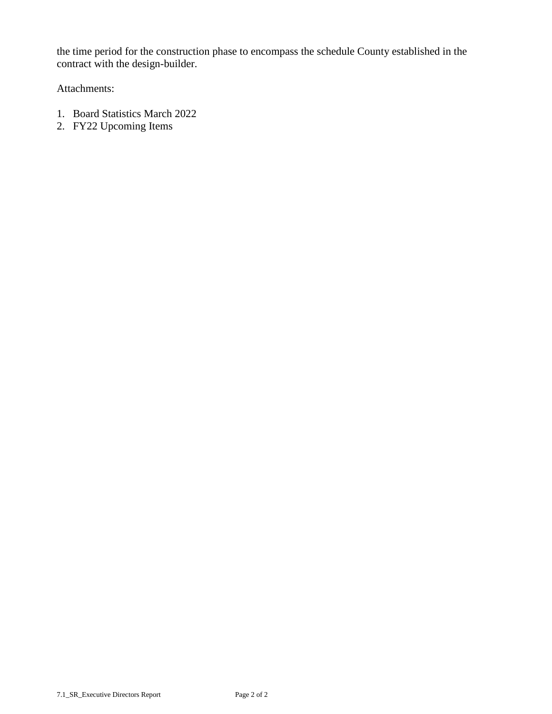the time period for the construction phase to encompass the schedule County established in the contract with the design-builder.

Attachments:

- 1. Board Statistics March 2022
- 2. FY22 Upcoming Items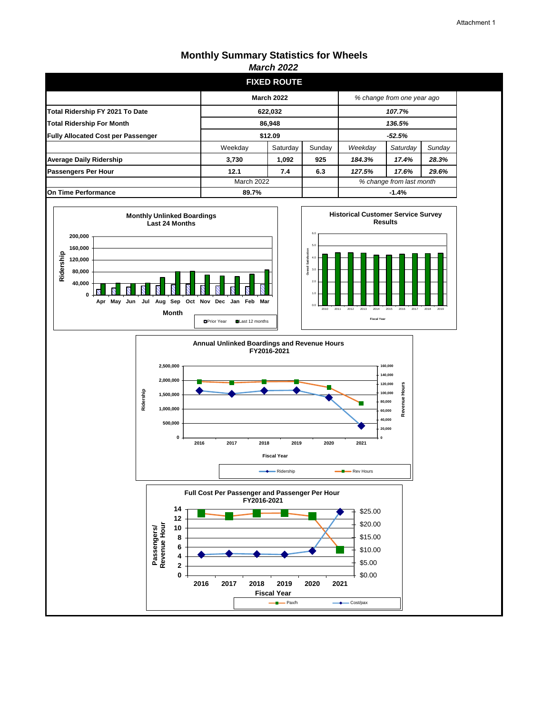### **Monthly Summary Statistics for Wheels**

|                                           |                   | <i>March 2022</i>  |          |                            |          |        |
|-------------------------------------------|-------------------|--------------------|----------|----------------------------|----------|--------|
|                                           |                   | <b>FIXED ROUTE</b> |          |                            |          |        |
|                                           | <b>March 2022</b> |                    |          | % change from one year ago |          |        |
| Total Ridership FY 2021 To Date           |                   | 622,032            |          | 107.7%                     |          |        |
| <b>Total Ridership For Month</b>          |                   | 86,948             |          | 136.5%                     |          |        |
| <b>Fully Allocated Cost per Passenger</b> | \$12.09           |                    | $-52.5%$ |                            |          |        |
|                                           | Weekday           | Saturday           | Sunday   | Weekday                    | Saturday | Sunday |
| <b>Average Daily Ridership</b>            | 3,730             | 1,092              | 925      | 184.3%                     | 17.4%    | 28.3%  |
| <b>Passengers Per Hour</b>                | 12.1              | 7.4                | 6.3      | 127.5%                     | 17.6%    | 29.6%  |
|                                           | <b>March 2022</b> |                    |          | % change from last month   |          |        |
| <b>On Time Performance</b>                |                   | 89.7%              |          | $-1.4%$                    |          |        |







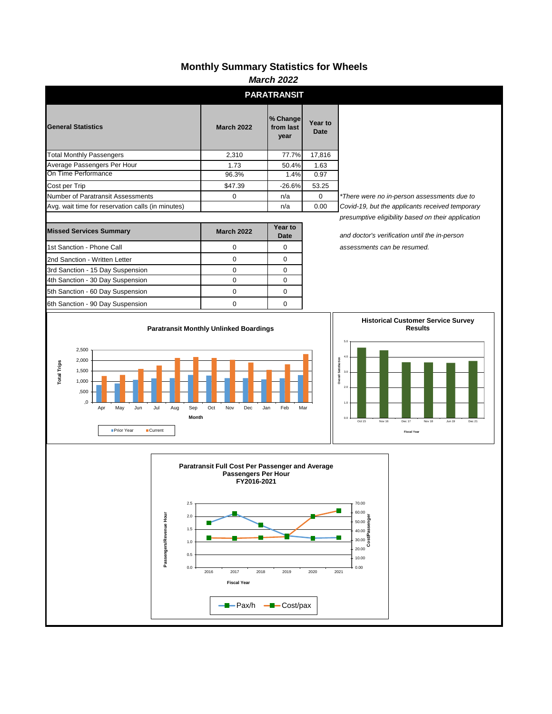### **Monthly Summary Statistics for Wheels**

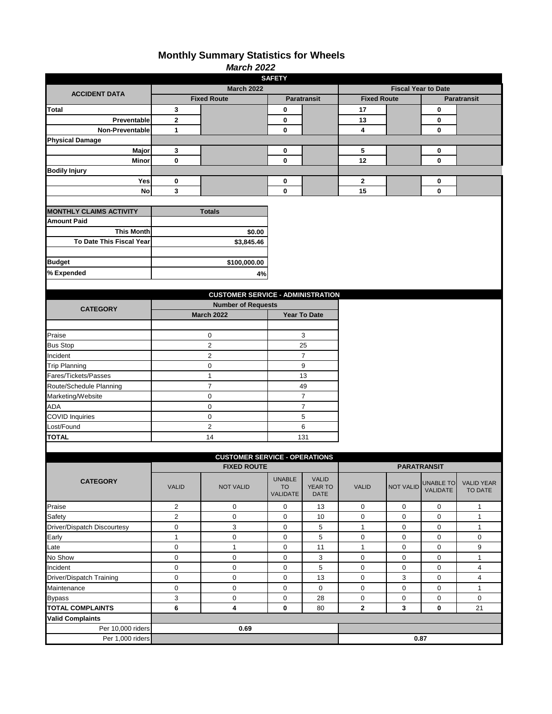### **Monthly Summary Statistics for Wheels**

| <b>March 2022</b>                             |                               |                                          |               |                                |                     |                    |                            |                    |  |
|-----------------------------------------------|-------------------------------|------------------------------------------|---------------|--------------------------------|---------------------|--------------------|----------------------------|--------------------|--|
| <b>SAFETY</b>                                 |                               |                                          |               |                                |                     |                    |                            |                    |  |
| <b>ACCIDENT DATA</b>                          |                               | <b>March 2022</b>                        |               |                                |                     |                    | <b>Fiscal Year to Date</b> |                    |  |
|                                               |                               | <b>Fixed Route</b>                       |               | <b>Paratransit</b>             | <b>Fixed Route</b>  |                    |                            | <b>Paratransit</b> |  |
| Total                                         | 3                             |                                          | 0             |                                | 17                  |                    | 0                          |                    |  |
| Preventable                                   | $\mathbf 2$                   |                                          | 0             |                                | 13                  |                    | 0                          |                    |  |
| Non-Preventable                               | $\mathbf{1}$                  |                                          | 0             |                                | 4                   |                    | $\mathbf 0$                |                    |  |
| <b>Physical Damage</b>                        |                               |                                          |               |                                |                     |                    |                            |                    |  |
| Major                                         | 3                             |                                          | 0             |                                | 5                   |                    | 0                          |                    |  |
| Minor                                         | $\mathbf 0$                   |                                          | 0             |                                | 12                  |                    | $\mathbf 0$                |                    |  |
| <b>Bodily Injury</b>                          |                               |                                          |               |                                |                     |                    |                            |                    |  |
| Yes                                           | 0                             |                                          | 0             |                                | 2                   |                    | 0                          |                    |  |
| No                                            | 3                             |                                          | 0             |                                | 15                  |                    | 0                          |                    |  |
|                                               |                               |                                          |               |                                |                     |                    |                            |                    |  |
| <b>MONTHLY CLAIMS ACTIVITY</b>                |                               | <b>Totals</b>                            |               |                                |                     |                    |                            |                    |  |
| <b>Amount Paid</b>                            |                               |                                          |               |                                |                     |                    |                            |                    |  |
| <b>This Month</b><br>To Date This Fiscal Year |                               | \$0.00                                   |               |                                |                     |                    |                            |                    |  |
|                                               |                               | \$3,845.46                               |               |                                |                     |                    |                            |                    |  |
|                                               |                               |                                          |               |                                |                     |                    |                            |                    |  |
| <b>Budget</b>                                 |                               | \$100,000.00                             |               |                                |                     |                    |                            |                    |  |
| % Expended                                    |                               | 4%                                       |               |                                |                     |                    |                            |                    |  |
|                                               |                               |                                          |               |                                |                     |                    |                            |                    |  |
|                                               |                               | <b>CUSTOMER SERVICE - ADMINISTRATION</b> |               |                                |                     |                    |                            |                    |  |
| <b>CATEGORY</b>                               |                               | <b>Number of Requests</b>                |               |                                |                     |                    |                            |                    |  |
|                                               |                               | <b>March 2022</b>                        |               | <b>Year To Date</b>            |                     |                    |                            |                    |  |
|                                               |                               |                                          |               |                                |                     |                    |                            |                    |  |
| Praise                                        |                               | 0                                        |               | 3                              |                     |                    |                            |                    |  |
| <b>Bus Stop</b>                               |                               | $\overline{2}$                           |               | 25                             |                     |                    |                            |                    |  |
| Incident                                      |                               | $\overline{c}$                           |               | $\overline{7}$                 |                     |                    |                            |                    |  |
| <b>Trip Planning</b>                          |                               | $\mathbf 0$                              |               | 9                              |                     |                    |                            |                    |  |
| Fares/Tickets/Passes                          |                               | $\mathbf{1}$                             |               | 13                             |                     |                    |                            |                    |  |
| Route/Schedule Planning                       |                               | $\overline{7}$                           |               | 49                             |                     |                    |                            |                    |  |
| Marketing/Website                             |                               | $\mathbf 0$                              |               | $\overline{7}$                 |                     |                    |                            |                    |  |
| <b>ADA</b>                                    |                               | $\mathbf 0$                              |               | $\overline{7}$                 |                     |                    |                            |                    |  |
| <b>COVID Inquiries</b>                        | $\pmb{0}$<br>$\boldsymbol{2}$ |                                          | 5<br>6        |                                |                     |                    |                            |                    |  |
| Lost/Found<br><b>TOTAL</b>                    |                               |                                          | 131           |                                |                     |                    |                            |                    |  |
|                                               |                               | 14                                       |               |                                |                     |                    |                            |                    |  |
|                                               |                               | <b>CUSTOMER SERVICE - OPERATIONS</b>     |               |                                |                     |                    |                            |                    |  |
|                                               |                               | <b>FIXED ROUTE</b>                       |               |                                |                     | <b>PARATRANSIT</b> |                            |                    |  |
|                                               |                               |                                          | <b>UNABLE</b> |                                |                     |                    |                            |                    |  |
| <b>CATEGORY</b>                               | <b>VALID</b>                  | <b>NOT VALID</b>                         | <b>TO</b>     | <b>VALID</b><br><b>YEAR TO</b> | <b>VALID</b>        | <b>NOT VALID</b>   | <b>UNABLE TO</b>           | <b>VALID YEAR</b>  |  |
|                                               |                               |                                          | VALIDATE      | <b>DATE</b>                    |                     |                    | <b>VALIDATE</b>            | TO DATE            |  |
| Praise                                        | $\overline{2}$                | 0                                        | 0             | 13                             | $\mathsf{O}\xspace$ | 0                  | 0                          | $\mathbf{1}$       |  |
| Safety                                        | $\mathbf 2$                   | 0                                        | $\mathsf 0$   | $10\,$                         | $\pmb{0}$           | $\pmb{0}$          | $\mathsf 0$                | $\mathbf{1}$       |  |
| Driver/Dispatch Discourtesy                   | $\pmb{0}$                     | 3                                        | 0             | 5                              | $\mathbf{1}$        | $\pmb{0}$          | 0                          | $\mathbf{1}$       |  |
| Early                                         | $\mathbf{1}$                  | $\pmb{0}$                                | 0             | 5                              | $\pmb{0}$           | 0                  | 0                          | 0                  |  |
| Late                                          | $\pmb{0}$                     | $\mathbf{1}$                             | $\pmb{0}$     | 11                             | $\mathbf{1}$        | $\mathbf 0$        | 0                          | 9                  |  |
| No Show                                       | $\mathbf 0$                   | $\pmb{0}$                                | $\pmb{0}$     | $\mathbf{3}$                   | $\mathbf 0$         | $\mathbf 0$        | $\mathbf 0$                | $\mathbf{1}$       |  |
| Incident                                      | $\mathbf 0$                   | $\pmb{0}$                                | 0             | 5                              | $\pmb{0}$           | $\mathbf 0$        | $\mathbf 0$                | 4                  |  |
| Driver/Dispatch Training                      | $\mathbf 0$                   | $\pmb{0}$                                | $\pmb{0}$     | 13                             | $\pmb{0}$           | 3                  | $\mathbf 0$                | 4                  |  |
| Maintenance                                   | $\mathbf 0$                   | $\pmb{0}$                                | $\pmb{0}$     | 0                              | $\mathsf{O}\xspace$ | $\pmb{0}$          | $\pmb{0}$                  | $\mathbf{1}$       |  |
| <b>Bypass</b>                                 | 3                             | $\mathbf 0$                              | $\pmb{0}$     | 28                             | 0                   | $\mathbf 0$        | $\pmb{0}$                  | 0                  |  |
| <b>TOTAL COMPLAINTS</b>                       | 6                             | 4                                        | 0             | 80                             | $\mathbf{2}$        | 3                  | 0                          | 21                 |  |
| <b>Valid Complaints</b>                       |                               |                                          |               |                                |                     |                    |                            |                    |  |
| Per 10,000 riders                             | 0.69                          |                                          |               |                                |                     |                    |                            |                    |  |
| Per 1,000 riders                              |                               |                                          |               |                                |                     | 0.87               |                            |                    |  |
|                                               |                               |                                          |               |                                |                     |                    |                            |                    |  |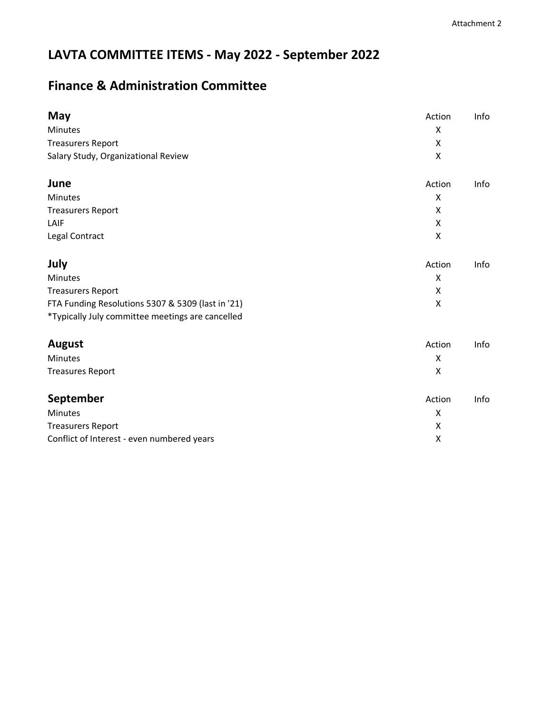## **LAVTA COMMITTEE ITEMS - May 2022 - September 2022**

### **Finance & Administration Committee**

| May                                               | Action | Info |
|---------------------------------------------------|--------|------|
| Minutes                                           | X      |      |
| <b>Treasurers Report</b>                          | X      |      |
| Salary Study, Organizational Review               | X      |      |
| June                                              | Action | Info |
| Minutes                                           | X      |      |
| <b>Treasurers Report</b>                          | Χ      |      |
| LAIF                                              | X      |      |
| Legal Contract                                    | X      |      |
| July                                              | Action | Info |
| <b>Minutes</b>                                    | X      |      |
| <b>Treasurers Report</b>                          | X      |      |
| FTA Funding Resolutions 5307 & 5309 (last in '21) | X      |      |
| *Typically July committee meetings are cancelled  |        |      |
| <b>August</b>                                     | Action | Info |
| <b>Minutes</b>                                    | X      |      |
| <b>Treasures Report</b>                           | X      |      |
| September                                         | Action | Info |
| Minutes                                           | X      |      |
| <b>Treasurers Report</b>                          | Χ      |      |
| Conflict of Interest - even numbered years        | X      |      |